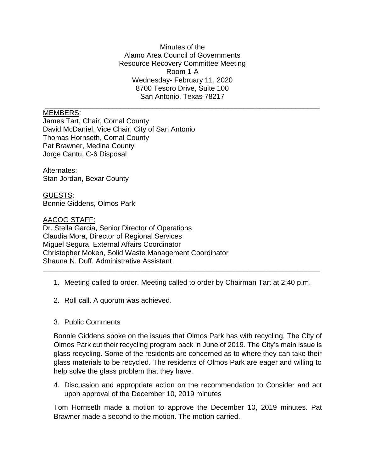Minutes of the Alamo Area Council of Governments Resource Recovery Committee Meeting Room 1-A Wednesday- February 11, 2020 8700 Tesoro Drive, Suite 100 San Antonio, Texas 78217

\_\_\_\_\_\_\_\_\_\_\_\_\_\_\_\_\_\_\_\_\_\_\_\_\_\_\_\_\_\_\_\_\_\_\_\_\_\_\_\_\_\_\_\_\_\_\_\_\_\_\_\_\_\_\_\_\_\_\_\_\_\_\_\_\_\_\_\_\_

## MEMBERS:

James Tart, Chair, Comal County David McDaniel, Vice Chair, City of San Antonio Thomas Hornseth, Comal County Pat Brawner, Medina County Jorge Cantu, C-6 Disposal

Alternates: Stan Jordan, Bexar County

GUESTS: Bonnie Giddens, Olmos Park

AACOG STAFF:

Dr. Stella Garcia, Senior Director of Operations Claudia Mora, Director of Regional Services Miguel Segura, External Affairs Coordinator Christopher Moken, Solid Waste Management Coordinator Shauna N. Duff, Administrative Assistant

1. Meeting called to order. Meeting called to order by Chairman Tart at 2:40 p.m.

\_\_\_\_\_\_\_\_\_\_\_\_\_\_\_\_\_\_\_\_\_\_\_\_\_\_\_\_\_\_\_\_\_\_\_\_\_\_\_\_\_\_\_\_\_\_\_\_\_\_\_\_\_\_\_\_\_\_\_\_\_\_\_\_\_\_\_\_\_\_\_\_\_\_\_\_\_\_\_\_\_\_\_\_\_

- 2. Roll call. A quorum was achieved.
- 3. Public Comments

Bonnie Giddens spoke on the issues that Olmos Park has with recycling. The City of Olmos Park cut their recycling program back in June of 2019. The City's main issue is glass recycling. Some of the residents are concerned as to where they can take their glass materials to be recycled. The residents of Olmos Park are eager and willing to help solve the glass problem that they have.

4. Discussion and appropriate action on the recommendation to Consider and act upon approval of the December 10, 2019 minutes

Tom Hornseth made a motion to approve the December 10, 2019 minutes. Pat Brawner made a second to the motion. The motion carried.